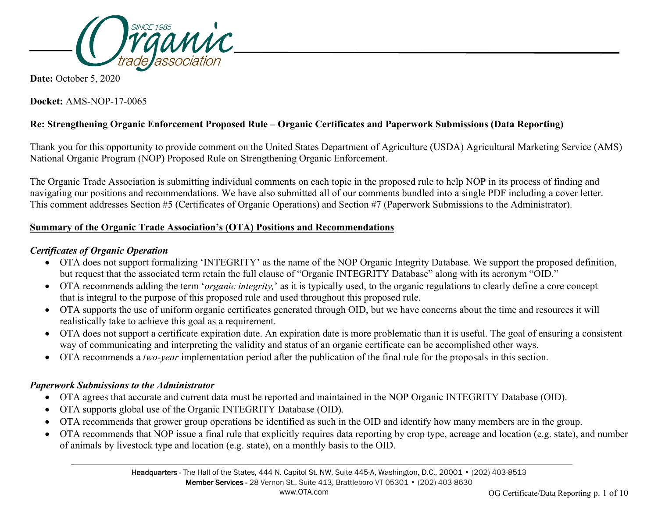

**Date:** October 5, 2020

**Docket:** AMS-NOP-17-0065

# **Re: Strengthening Organic Enforcement Proposed Rule – Organic Certificates and Paperwork Submissions (Data Reporting)**

Thank you for this opportunity to provide comment on the United States Department of Agriculture (USDA) Agricultural Marketing Service (AMS) National Organic Program (NOP) Proposed Rule on Strengthening Organic Enforcement.

The Organic Trade Association is submitting individual comments on each topic in the proposed rule to help NOP in its process of finding and navigating our positions and recommendations. We have also submitted all of our comments bundled into a single PDF including a cover letter. This comment addresses Section #5 (Certificates of Organic Operations) and Section #7 (Paperwork Submissions to the Administrator).

### **Summary of the Organic Trade Association's (OTA) Positions and Recommendations**

### *Certificates of Organic Operation*

- OTA does not support formalizing 'INTEGRITY' as the name of the NOP Organic Integrity Database. We support the proposed definition, but request that the associated term retain the full clause of "Organic INTEGRITY Database" along with its acronym "OID."
- OTA recommends adding the term '*organic integrity,*' as it is typically used, to the organic regulations to clearly define a core concept that is integral to the purpose of this proposed rule and used throughout this proposed rule.
- OTA supports the use of uniform organic certificates generated through OID, but we have concerns about the time and resources it will realistically take to achieve this goal as a requirement.
- OTA does not support a certificate expiration date. An expiration date is more problematic than it is useful. The goal of ensuring a consistent way of communicating and interpreting the validity and status of an organic certificate can be accomplished other ways.
- OTA recommends a *two-year* implementation period after the publication of the final rule for the proposals in this section.

### *Paperwork Submissions to the Administrator*

- OTA agrees that accurate and current data must be reported and maintained in the NOP Organic INTEGRITY Database (OID).
- OTA supports global use of the Organic INTEGRITY Database (OID).
- OTA recommends that grower group operations be identified as such in the OID and identify how many members are in the group.
- OTA recommends that NOP issue a final rule that explicitly requires data reporting by crop type, acreage and location (e.g. state), and number of animals by livestock type and location (e.g. state), on a monthly basis to the OID.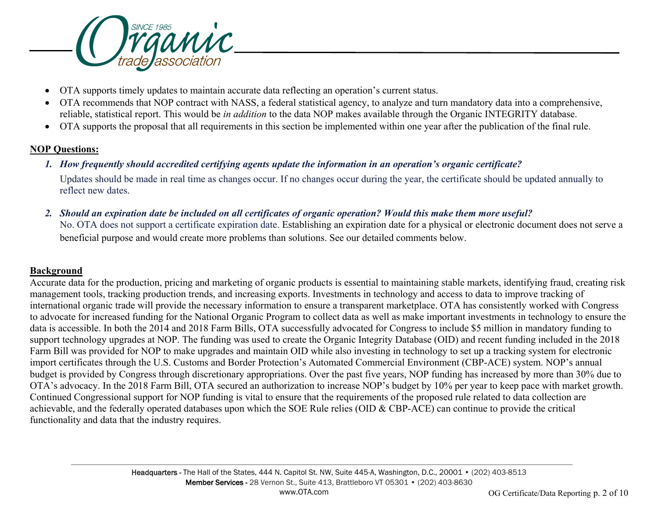

- OTA supports timely updates to maintain accurate data reflecting an operation's current status.
- OTA recommends that NOP contract with NASS, a federal statistical agency, to analyze and turn mandatory data into a comprehensive, reliable, statistical report. This would be *in addition* to the data NOP makes available through the Organic INTEGRITY database.
- OTA supports the proposal that all requirements in this section be implemented within one year after the publication of the final rule.

### **NOP Questions:**

*1. How frequently should accredited certifying agents update the information in an operation's organic certificate?*

Updates should be made in real time as changes occur. If no changes occur during the year, the certificate should be updated annually to reflect new dates.

*2. Should an expiration date be included on all certificates of organic operation? Would this make them more useful?*  No. OTA does not support a certificate expiration date. Establishing an expiration date for a physical or electronic document does not serve a beneficial purpose and would create more problems than solutions. See our detailed comments below.

# **Background**

Accurate data for the production, pricing and marketing of organic products is essential to maintaining stable markets, identifying fraud, creating risk management tools, tracking production trends, and increasing exports. Investments in technology and access to data to improve tracking of international organic trade will provide the necessary information to ensure a transparent marketplace. OTA has consistently worked with Congress to advocate for increased funding for the National Organic Program to collect data as well as make important investments in technology to ensure the data is accessible. In both the 2014 and 2018 Farm Bills, OTA successfully advocated for Congress to include \$5 million in mandatory funding to support technology upgrades at NOP. The funding was used to create the Organic Integrity Database (OID) and recent funding included in the 2018 Farm Bill was provided for NOP to make upgrades and maintain OID while also investing in technology to set up a tracking system for electronic import certificates through the U.S. Customs and Border Protection's Automated Commercial Environment (CBP-ACE) system. NOP's annual budget is provided by Congress through discretionary appropriations. Over the past five years, NOP funding has increased by more than 30% due to OTA's advocacy. In the 2018 Farm Bill, OTA secured an authorization to increase NOP's budget by 10% per year to keep pace with market growth. Continued Congressional support for NOP funding is vital to ensure that the requirements of the proposed rule related to data collection are achievable, and the federally operated databases upon which the SOE Rule relies (OID & CBP-ACE) can continue to provide the critical functionality and data that the industry requires.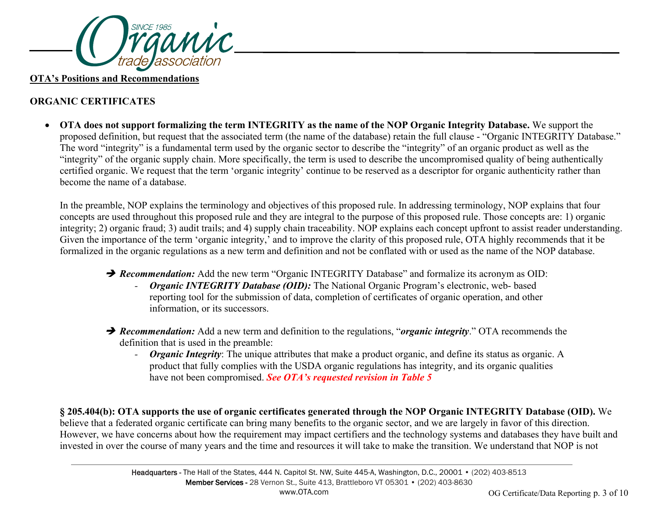

#### **OTA's Positions and Recommendations**

# **ORGANIC CERTIFICATES**

• **OTA does not support formalizing the term INTEGRITY as the name of the NOP Organic Integrity Database.** We support the proposed definition, but request that the associated term (the name of the database) retain the full clause - "Organic INTEGRITY Database." The word "integrity" is a fundamental term used by the organic sector to describe the "integrity" of an organic product as well as the "integrity" of the organic supply chain. More specifically, the term is used to describe the uncompromised quality of being authentically certified organic. We request that the term 'organic integrity' continue to be reserved as a descriptor for organic authenticity rather than become the name of a database.

In the preamble, NOP explains the terminology and objectives of this proposed rule. In addressing terminology, NOP explains that four concepts are used throughout this proposed rule and they are integral to the purpose of this proposed rule. Those concepts are: 1) organic integrity; 2) organic fraud; 3) audit trails; and 4) supply chain traceability. NOP explains each concept upfront to assist reader understanding. Given the importance of the term 'organic integrity,' and to improve the clarity of this proposed rule, OTA highly recommends that it be formalized in the organic regulations as a new term and definition and not be conflated with or used as the name of the NOP database.

- **→ Recommendation:** Add the new term "Organic INTEGRITY Database" and formalize its acronym as OID:
	- *- Organic INTEGRITY Database (OID):* The National Organic Program's electronic, web- based reporting tool for the submission of data, completion of certificates of organic operation, and other information, or its successors.
- *Recommendation:* Add a new term and definition to the regulations, "*organic integrity*." OTA recommends the definition that is used in the preamble:
	- *- Organic Integrity*: The unique attributes that make a product organic, and define its status as organic. A product that fully complies with the USDA organic regulations has integrity, and its organic qualities have not been compromised. *See OTA's requested revision in Table 5*

**§ 205.404(b): OTA supports the use of organic certificates generated through the NOP Organic INTEGRITY Database (OID).** We believe that a federated organic certificate can bring many benefits to the organic sector, and we are largely in favor of this direction. However, we have concerns about how the requirement may impact certifiers and the technology systems and databases they have built and invested in over the course of many years and the time and resources it will take to make the transition. We understand that NOP is not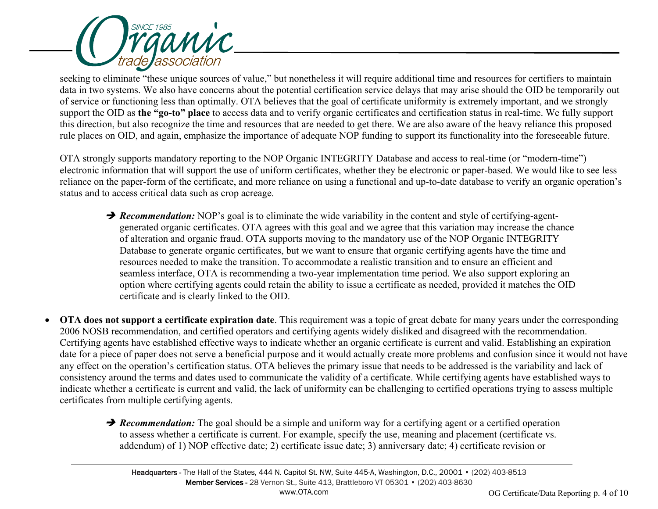

seeking to eliminate "these unique sources of value," but nonetheless it will require additional time and resources for certifiers to maintain data in two systems. We also have concerns about the potential certification service delays that may arise should the OID be temporarily out of service or functioning less than optimally. OTA believes that the goal of certificate uniformity is extremely important, and we strongly support the OID as **the "go-to" place** to access data and to verify organic certificates and certification status in real-time. We fully support this direction, but also recognize the time and resources that are needed to get there. We are also aware of the heavy reliance this proposed rule places on OID, and again, emphasize the importance of adequate NOP funding to support its functionality into the foreseeable future.

OTA strongly supports mandatory reporting to the NOP Organic INTEGRITY Database and access to real-time (or "modern-time") electronic information that will support the use of uniform certificates, whether they be electronic or paper-based. We would like to see less reliance on the paper-form of the certificate, and more reliance on using a functional and up-to-date database to verify an organic operation's status and to access critical data such as crop acreage.

- **P** Recommendation: NOP's goal is to eliminate the wide variability in the content and style of certifying-agentgenerated organic certificates. OTA agrees with this goal and we agree that this variation may increase the chance of alteration and organic fraud. OTA supports moving to the mandatory use of the NOP Organic INTEGRITY Database to generate organic certificates, but we want to ensure that organic certifying agents have the time and resources needed to make the transition. To accommodate a realistic transition and to ensure an efficient and seamless interface, OTA is recommending a two-year implementation time period. We also support exploring an option where certifying agents could retain the ability to issue a certificate as needed, provided it matches the OID certificate and is clearly linked to the OID.
- **OTA does not support a certificate expiration date**. This requirement was a topic of great debate for many years under the corresponding 2006 NOSB recommendation, and certified operators and certifying agents widely disliked and disagreed with the recommendation. Certifying agents have established effective ways to indicate whether an organic certificate is current and valid. Establishing an expiration date for a piece of paper does not serve a beneficial purpose and it would actually create more problems and confusion since it would not have any effect on the operation's certification status. OTA believes the primary issue that needs to be addressed is the variability and lack of consistency around the terms and dates used to communicate the validity of a certificate. While certifying agents have established ways to indicate whether a certificate is current and valid, the lack of uniformity can be challenging to certified operations trying to assess multiple certificates from multiple certifying agents.
	- **→ Recommendation:** The goal should be a simple and uniform way for a certifying agent or a certified operation to assess whether a certificate is current. For example, specify the use, meaning and placement (certificate vs. addendum) of 1) NOP effective date; 2) certificate issue date; 3) anniversary date; 4) certificate revision or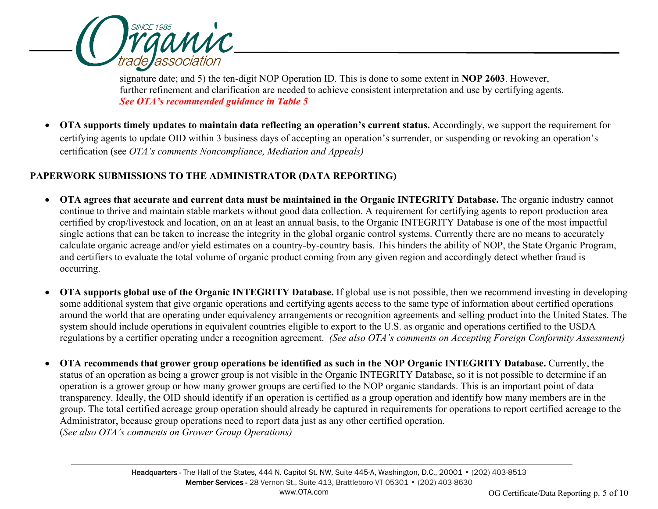

signature date; and 5) the ten-digit NOP Operation ID. This is done to some extent in **NOP 2603**. However, further refinement and clarification are needed to achieve consistent interpretation and use by certifying agents. *See OTA's recommended guidance in Table 5*

• **OTA supports timely updates to maintain data reflecting an operation's current status.** Accordingly, we support the requirement for certifying agents to update OID within 3 business days of accepting an operation's surrender, or suspending or revoking an operation's certification (see *OTA's comments Noncompliance, Mediation and Appeals)*

# **PAPERWORK SUBMISSIONS TO THE ADMINISTRATOR (DATA REPORTING)**

- **OTA agrees that accurate and current data must be maintained in the Organic INTEGRITY Database.** The organic industry cannot continue to thrive and maintain stable markets without good data collection. A requirement for certifying agents to report production area certified by crop/livestock and location, on an at least an annual basis, to the Organic INTEGRITY Database is one of the most impactful single actions that can be taken to increase the integrity in the global organic control systems. Currently there are no means to accurately calculate organic acreage and/or yield estimates on a country-by-country basis. This hinders the ability of NOP, the State Organic Program, and certifiers to evaluate the total volume of organic product coming from any given region and accordingly detect whether fraud is occurring.
- **OTA supports global use of the Organic INTEGRITY Database.** If global use is not possible, then we recommend investing in developing some additional system that give organic operations and certifying agents access to the same type of information about certified operations around the world that are operating under equivalency arrangements or recognition agreements and selling product into the United States. The system should include operations in equivalent countries eligible to export to the U.S. as organic and operations certified to the USDA regulations by a certifier operating under a recognition agreement. *(See also OTA's comments on Accepting Foreign Conformity Assessment)*
- **OTA recommends that grower group operations be identified as such in the NOP Organic INTEGRITY Database.** Currently, the status of an operation as being a grower group is not visible in the Organic INTEGRITY Database, so it is not possible to determine if an operation is a grower group or how many grower groups are certified to the NOP organic standards. This is an important point of data transparency. Ideally, the OID should identify if an operation is certified as a group operation and identify how many members are in the group. The total certified acreage group operation should already be captured in requirements for operations to report certified acreage to the Administrator, because group operations need to report data just as any other certified operation. (*See also OTA's comments on Grower Group Operations)*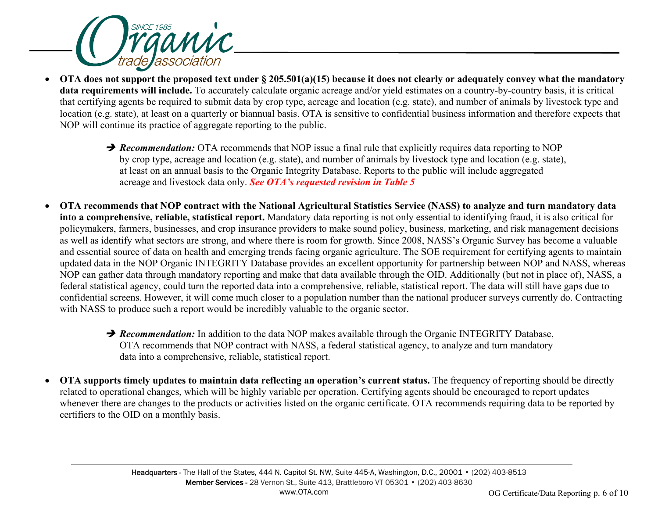

- **OTA does not support the proposed text under § 205.501(a)(15) because it does not clearly or adequately convey what the mandatory data requirements will include.** To accurately calculate organic acreage and/or yield estimates on a country-by-country basis, it is critical that certifying agents be required to submit data by crop type, acreage and location (e.g. state), and number of animals by livestock type and location (e.g. state), at least on a quarterly or biannual basis. OTA is sensitive to confidential business information and therefore expects that NOP will continue its practice of aggregate reporting to the public.
	- **→ Recommendation:** OTA recommends that NOP issue a final rule that explicitly requires data reporting to NOP by crop type, acreage and location (e.g. state), and number of animals by livestock type and location (e.g. state), at least on an annual basis to the Organic Integrity Database. Reports to the public will include aggregated acreage and livestock data only. *See OTA's requested revision in Table 5*
- **OTA recommends that NOP contract with the National Agricultural Statistics Service (NASS) to analyze and turn mandatory data into a comprehensive, reliable, statistical report.** Mandatory data reporting is not only essential to identifying fraud, it is also critical for policymakers, farmers, businesses, and crop insurance providers to make sound policy, business, marketing, and risk management decisions as well as identify what sectors are strong, and where there is room for growth. Since 2008, NASS's Organic Survey has become a valuable and essential source of data on health and emerging trends facing organic agriculture. The SOE requirement for certifying agents to maintain updated data in the NOP Organic INTEGRITY Database provides an excellent opportunity for partnership between NOP and NASS, whereas NOP can gather data through mandatory reporting and make that data available through the OID. Additionally (but not in place of), NASS, a federal statistical agency, could turn the reported data into a comprehensive, reliable, statistical report. The data will still have gaps due to confidential screens. However, it will come much closer to a population number than the national producer surveys currently do. Contracting with NASS to produce such a report would be incredibly valuable to the organic sector.
	- **P** Recommendation: In addition to the data NOP makes available through the Organic INTEGRITY Database, OTA recommends that NOP contract with NASS, a federal statistical agency, to analyze and turn mandatory data into a comprehensive, reliable, statistical report.
- **OTA supports timely updates to maintain data reflecting an operation's current status.** The frequency of reporting should be directly related to operational changes, which will be highly variable per operation. Certifying agents should be encouraged to report updates whenever there are changes to the products or activities listed on the organic certificate. OTA recommends requiring data to be reported by certifiers to the OID on a monthly basis.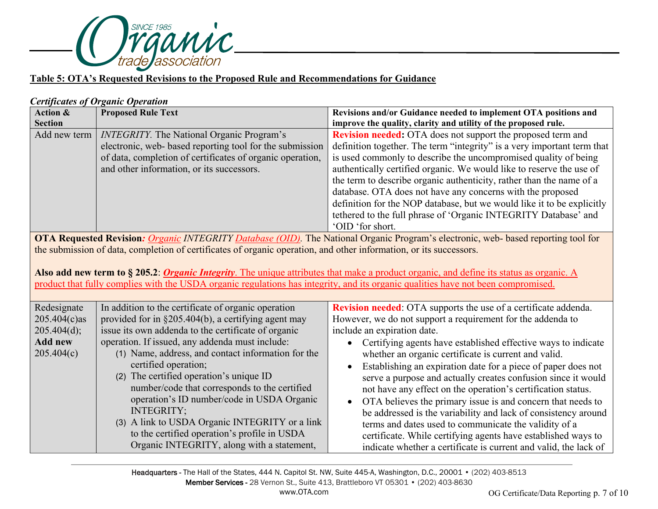

#### **Table 5: OTA's Requested Revisions to the Proposed Rule and Recommendations for Guidance**

#### *Certificates of Organic Operation*

| <b>Action &amp;</b>                                                                                                                | <b>Proposed Rule Text</b>                                                                                                         | Revisions and/or Guidance needed to implement OTA positions and                                                                                 |  |  |
|------------------------------------------------------------------------------------------------------------------------------------|-----------------------------------------------------------------------------------------------------------------------------------|-------------------------------------------------------------------------------------------------------------------------------------------------|--|--|
| <b>Section</b>                                                                                                                     |                                                                                                                                   | improve the quality, clarity and utility of the proposed rule.                                                                                  |  |  |
| Add new term                                                                                                                       | <b>INTEGRITY</b> . The National Organic Program's                                                                                 | Revision needed: OTA does not support the proposed term and                                                                                     |  |  |
|                                                                                                                                    | electronic, web- based reporting tool for the submission                                                                          | definition together. The term "integrity" is a very important term that                                                                         |  |  |
|                                                                                                                                    | of data, completion of certificates of organic operation,                                                                         | is used commonly to describe the uncompromised quality of being                                                                                 |  |  |
|                                                                                                                                    | and other information, or its successors.                                                                                         | authentically certified organic. We would like to reserve the use of                                                                            |  |  |
|                                                                                                                                    |                                                                                                                                   | the term to describe organic authenticity, rather than the name of a                                                                            |  |  |
|                                                                                                                                    |                                                                                                                                   | database. OTA does not have any concerns with the proposed                                                                                      |  |  |
|                                                                                                                                    |                                                                                                                                   | definition for the NOP database, but we would like it to be explicitly                                                                          |  |  |
|                                                                                                                                    |                                                                                                                                   | tethered to the full phrase of 'Organic INTEGRITY Database' and                                                                                 |  |  |
|                                                                                                                                    |                                                                                                                                   | 'OID 'for short.                                                                                                                                |  |  |
| OTA Requested Revision: Organic INTEGRITY Database (OID). The National Organic Program's electronic, web- based reporting tool for |                                                                                                                                   |                                                                                                                                                 |  |  |
| the submission of data, completion of certificates of organic operation, and other information, or its successors.                 |                                                                                                                                   |                                                                                                                                                 |  |  |
|                                                                                                                                    |                                                                                                                                   |                                                                                                                                                 |  |  |
|                                                                                                                                    |                                                                                                                                   | Also add new term to § 205.2: <i>Organic Integrity</i> . The unique attributes that make a product organic, and define its status as organic. A |  |  |
|                                                                                                                                    | product that fully complies with the USDA organic regulations has integrity, and its organic qualities have not been compromised. |                                                                                                                                                 |  |  |
|                                                                                                                                    |                                                                                                                                   |                                                                                                                                                 |  |  |
| Redesignate                                                                                                                        | In addition to the certificate of organic operation                                                                               | Revision needed: OTA supports the use of a certificate addenda.                                                                                 |  |  |
| $205.404(c)$ as                                                                                                                    | provided for in §205.404(b), a certifying agent may                                                                               | However, we do not support a requirement for the addenda to                                                                                     |  |  |
| 205.404(d);                                                                                                                        | issue its own addenda to the certificate of organic                                                                               | include an expiration date.                                                                                                                     |  |  |
| <b>Add new</b>                                                                                                                     | operation. If issued, any addenda must include:                                                                                   | Certifying agents have established effective ways to indicate                                                                                   |  |  |
| 205.404(c)                                                                                                                         | (1) Name, address, and contact information for the                                                                                | whether an organic certificate is current and valid.                                                                                            |  |  |
|                                                                                                                                    | certified operation;                                                                                                              | Establishing an expiration date for a piece of paper does not                                                                                   |  |  |
|                                                                                                                                    | (2) The certified operation's unique ID                                                                                           | serve a purpose and actually creates confusion since it would                                                                                   |  |  |
|                                                                                                                                    | number/code that corresponds to the certified                                                                                     | not have any effect on the operation's certification status.                                                                                    |  |  |
|                                                                                                                                    | operation's ID number/code in USDA Organic                                                                                        | OTA believes the primary issue is and concern that needs to<br>$\bullet$                                                                        |  |  |
|                                                                                                                                    | <b>INTEGRITY;</b>                                                                                                                 | be addressed is the variability and lack of consistency around                                                                                  |  |  |
|                                                                                                                                    | (3) A link to USDA Organic INTEGRITY or a link                                                                                    | terms and dates used to communicate the validity of a                                                                                           |  |  |
|                                                                                                                                    | to the certified operation's profile in USDA                                                                                      | certificate. While certifying agents have established ways to                                                                                   |  |  |
|                                                                                                                                    | Organic INTEGRITY, along with a statement,                                                                                        | indicate whether a certificate is current and valid, the lack of                                                                                |  |  |

Headquarters - The Hall of the States, 444 N. Capitol St. NW, Suite 445-A, Washington, D.C., 20001 • (202) 403-8513 Member Services - 28 Vernon St., Suite 413, Brattleboro VT 05301 • (202) 403-8630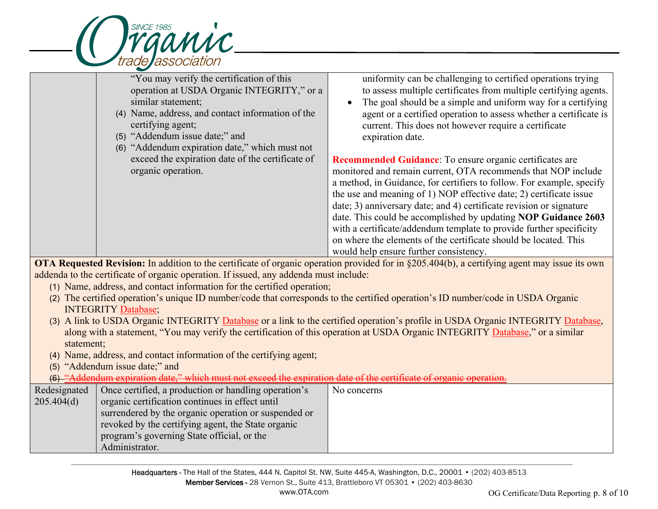

L

"You may verify the certification of this operation at USDA Organic INTEGRITY," or a similar statement; (4) Name, address, and contact information of the certifying agent; (5) "Addendum issue date;" and (6) "Addendum expiration date," which must not exceed the expiration date of the certificate of organic operation. uniformity can be challenging to certified operations trying to assess multiple certificates from multiple certifying agents. • The goal should be a simple and uniform way for a certifying agent or a certified operation to assess whether a certificate is current. This does not however require a certificate expiration date. **Recommended Guidance**: To ensure organic certificates are monitored and remain current, OTA recommends that NOP include a method, in Guidance, for certifiers to follow. For example, specify the use and meaning of 1) NOP effective date; 2) certificate issue date; 3) anniversary date; and 4) certificate revision or signature date. This could be accomplished by updating **NOP Guidance 2603** with a certificate/addendum template to provide further specificity on where the elements of the certificate should be located. This would help ensure further consistency.

**OTA Requested Revision:** In addition to the certificate of organic operation provided for in §205.404(b), a certifying agent may issue its own addenda to the certificate of organic operation. If issued, any addenda must include:

- (1) Name, address, and contact information for the certified operation;
- (2) The certified operation's unique ID number/code that corresponds to the certified operation's ID number/code in USDA Organic INTEGRITY Database;
- (3) A link to USDA Organic INTEGRITY Database or a link to the certified operation's profile in USDA Organic INTEGRITY Database, along with a statement, "You may verify the certification of this operation at USDA Organic INTEGRITY Database," or a similar statement;
- (4) Name, address, and contact information of the certifying agent;
- (5) "Addendum issue date;" and

(6) "Addendum expiration date," which must not exceed the expiration date of the certificate of organic operation.

| Redesignated | Once certified, a production or handling operation's | No concerns |
|--------------|------------------------------------------------------|-------------|
| 205.404(d)   | organic certification continues in effect until      |             |
|              | surrendered by the organic operation or suspended or |             |
|              | revoked by the certifying agent, the State organic   |             |
|              | program's governing State official, or the           |             |
|              | Administrator.                                       |             |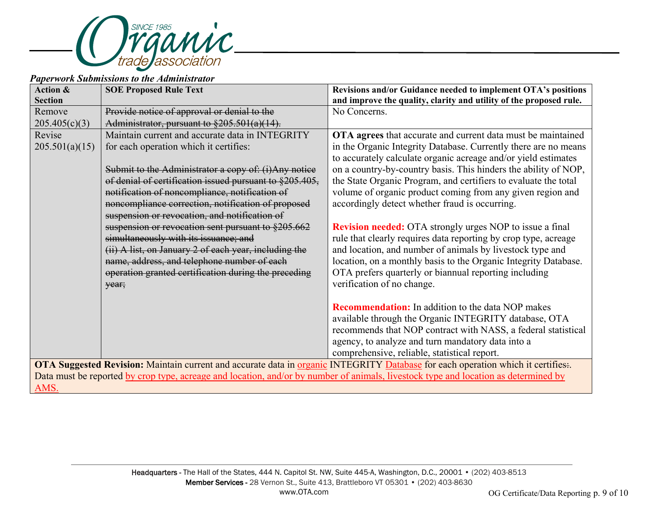

#### *Paperwork Submissions to the Administrator*

| <b>Action &amp;</b>                                                                                                                 | <b>SOE Proposed Rule Text</b>                                    | Revisions and/or Guidance needed to implement OTA's positions      |  |
|-------------------------------------------------------------------------------------------------------------------------------------|------------------------------------------------------------------|--------------------------------------------------------------------|--|
| <b>Section</b>                                                                                                                      |                                                                  | and improve the quality, clarity and utility of the proposed rule. |  |
| Remove                                                                                                                              | Provide notice of approval or denial to the                      | No Concerns.                                                       |  |
| 205.405(c)(3)                                                                                                                       | Administrator, pursuant to $\frac{205.501(a)(14)}{205.501(a)}$ . |                                                                    |  |
| Revise                                                                                                                              | Maintain current and accurate data in INTEGRITY                  | OTA agrees that accurate and current data must be maintained       |  |
| 205.501(a)(15)                                                                                                                      | for each operation which it certifies:                           | in the Organic Integrity Database. Currently there are no means    |  |
|                                                                                                                                     |                                                                  | to accurately calculate organic acreage and/or yield estimates     |  |
|                                                                                                                                     | Submit to the Administrator a copy of: (i) Any notice            | on a country-by-country basis. This hinders the ability of NOP,    |  |
|                                                                                                                                     | of denial of certification issued pursuant to §205.405,          | the State Organic Program, and certifiers to evaluate the total    |  |
|                                                                                                                                     | notification of noncompliance, notification of                   | volume of organic product coming from any given region and         |  |
|                                                                                                                                     | noncompliance correction, notification of proposed               | accordingly detect whether fraud is occurring.                     |  |
|                                                                                                                                     | suspension or revocation, and notification of                    |                                                                    |  |
|                                                                                                                                     | suspension or revocation sent pursuant to §205.662               | <b>Revision needed:</b> OTA strongly urges NOP to issue a final    |  |
|                                                                                                                                     | simultaneously with its issuance; and                            | rule that clearly requires data reporting by crop type, acreage    |  |
|                                                                                                                                     | (ii) A list, on January 2 of each year, including the            | and location, and number of animals by livestock type and          |  |
|                                                                                                                                     | name, address, and telephone number of each                      | location, on a monthly basis to the Organic Integrity Database.    |  |
|                                                                                                                                     | operation granted certification during the preceding             | OTA prefers quarterly or biannual reporting including              |  |
|                                                                                                                                     | year;                                                            | verification of no change.                                         |  |
|                                                                                                                                     |                                                                  |                                                                    |  |
|                                                                                                                                     |                                                                  | <b>Recommendation:</b> In addition to the data NOP makes           |  |
|                                                                                                                                     |                                                                  | available through the Organic INTEGRITY database, OTA              |  |
|                                                                                                                                     |                                                                  | recommends that NOP contract with NASS, a federal statistical      |  |
|                                                                                                                                     |                                                                  | agency, to analyze and turn mandatory data into a                  |  |
|                                                                                                                                     |                                                                  | comprehensive, reliable, statistical report.                       |  |
| OTA Suggested Revision: Maintain current and accurate data in organic INTEGRITY Database for each operation which it certifies      |                                                                  |                                                                    |  |
| Data must be reported by crop type, acreage and location, and/or by number of animals, livestock type and location as determined by |                                                                  |                                                                    |  |
| AMS.                                                                                                                                |                                                                  |                                                                    |  |